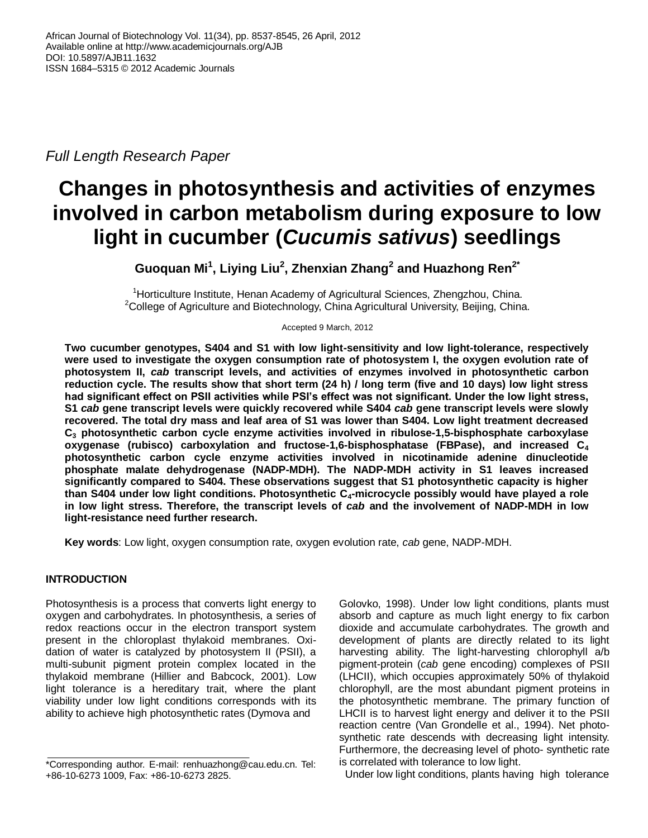*Full Length Research Paper*

# **Changes in photosynthesis and activities of enzymes involved in carbon metabolism during exposure to low light in cucumber (***Cucumis sativus***) seedlings**

**Guoquan Mi<sup>1</sup> , Liying Liu<sup>2</sup> , Zhenxian Zhang<sup>2</sup> and Huazhong Ren2\***

<sup>1</sup>Horticulture Institute, Henan Academy of Agricultural Sciences, Zhengzhou, China.  $2$ College of Agriculture and Biotechnology, China Agricultural University, Beijing, China.

Accepted 9 March, 2012

**Two cucumber genotypes, S404 and S1 with low light-sensitivity and low light-tolerance, respectively were used to investigate the oxygen consumption rate of photosystem I, the oxygen evolution rate of photosystem II,** *cab* **transcript levels, and activities of enzymes involved in photosynthetic carbon reduction cycle. The results show that short term (24 h) / long term (five and 10 days) low light stress had significant effect on PSII activities while PSI's effect was not significant. Under the low light stress, S1** *cab* **gene transcript levels were quickly recovered while S404** *cab* **gene transcript levels were slowly recovered. The total dry mass and leaf area of S1 was lower than S404. Low light treatment decreased C<sup>3</sup> photosynthetic carbon cycle enzyme activities involved in ribulose-1,5-bisphosphate carboxylase oxygenase (rubisco) carboxylation and fructose-1,6-bisphosphatase (FBPase), and increased C<sup>4</sup> photosynthetic carbon cycle enzyme activities involved in nicotinamide adenine dinucleotide phosphate malate dehydrogenase (NADP-MDH). The NADP-MDH activity in S1 leaves increased significantly compared to S404. These observations suggest that S1 photosynthetic capacity is higher than S404 under low light conditions. Photosynthetic C4-microcycle possibly would have played a role in low light stress. Therefore, the transcript levels of** *cab* **and the involvement of NADP-MDH in low light-resistance need further research.**

**Key words**: Low light, oxygen consumption rate, oxygen evolution rate, *cab* gene, NADP-MDH.

# **INTRODUCTION**

Photosynthesis is a process that converts light energy to oxygen and carbohydrates. In photosynthesis, a series of redox reactions occur in the electron transport system present in the chloroplast thylakoid membranes. Oxidation of water is catalyzed by photosystem II (PSII), a multi-subunit pigment protein complex located in the thylakoid membrane (Hillier and Babcock, 2001). Low light tolerance is a hereditary trait, where the plant viability under low light conditions corresponds with its ability to achieve high photosynthetic rates (Dymova and

Golovko, 1998). Under low light conditions, plants must absorb and capture as much light energy to fix carbon dioxide and accumulate carbohydrates. The growth and development of plants are directly related to its light harvesting ability. The light-harvesting chlorophyll a/b pigment-protein (*cab* gene encoding) complexes of PSII (LHCII), which occupies approximately 50% of thylakoid chlorophyll, are the most abundant pigment proteins in the photosynthetic membrane. The primary function of LHCII is to harvest light energy and deliver it to the PSII reaction centre (Van Grondelle et al., 1994). Net photosynthetic rate descends with decreasing light intensity. Furthermore, the decreasing level of photo- synthetic rate is correlated with tolerance to low light.

Under low light conditions, plants having high tolerance

<sup>\*</sup>Corresponding author. E-mail: renhuazhong@cau.edu.cn. Tel: +86-10-6273 1009, Fax: +86-10-6273 2825.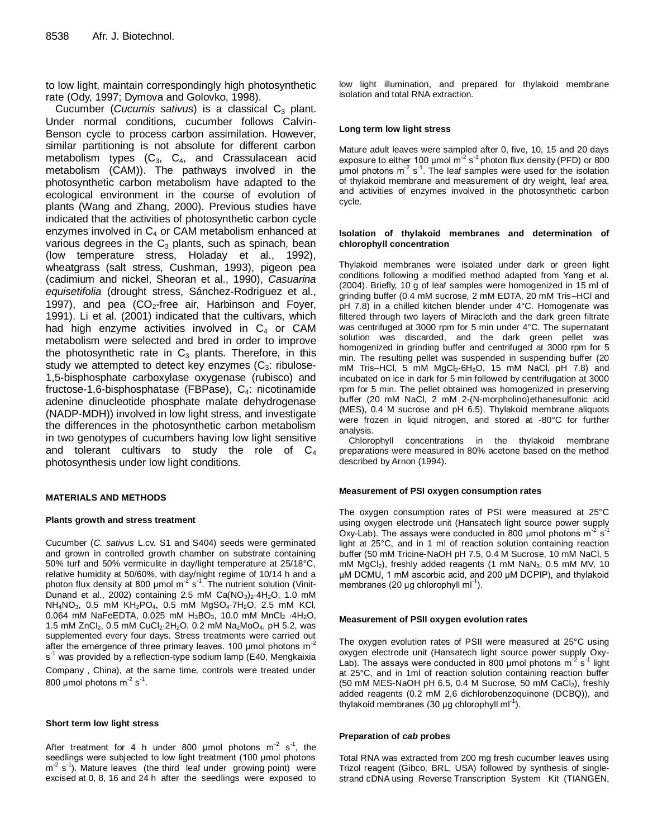to low light, maintain correspondingly high photosynthetic rate (Ody, 1997; Dymova and Golovko, 1998).

Cucumber (*Cucumis sativus*) is a classical C<sub>3</sub> plant. Under normal conditions, cucumber follows Calvin-Benson cycle to process carbon assimilation. However, similar partitioning is not absolute for different carbon metabolism types  $(C_3, C_4, and C_5)$  crassulacean acid metabolism (CAM)). The pathways involved in the photosynthetic carbon metabolism have adapted to the ecological environment in the course of evolution of plants (Wang and Zhang, 2000). Previous studies have indicated that the activities of photosynthetic carbon cycle enzymes involved in  $C_4$  or CAM metabolism enhanced at various degrees in the  $C_3$  plants, such as spinach, bean (low temperature stress, Holaday et al., 1992), wheatgrass (salt stress, Cushman, 1993), pigeon pea (cadimium and nickel, Sheoran et al., 1990), *Casuarina equisetifolia* (drought stress, Sánchez-Rodriguez et al., 1997), and pea  $(CO<sub>2</sub>-free)$  air, Harbinson and Fover, 1991). Li et al. (2001) indicated that the cultivars, which had high enzyme activities involved in  $C_4$  or CAM metabolism were selected and bred in order to improve the photosynthetic rate in  $C_3$  plants. Therefore, in this study we attempted to detect key enzymes  $(C_3:$  ribulose-1,5-bisphosphate carboxylase oxygenase (rubisco) and fructose-1,6-bisphosphatase (FBPase),  $C_4$ : nicotinamide adenine dinucleotide phosphate malate dehydrogenase (NADP-MDH)) involved in low light stress, and investigate the differences in the photosynthetic carbon metabolism in two genotypes of cucumbers having low light sensitive and tolerant cultivars to study the role of  $C_4$ photosynthesis under low light conditions.

#### **MATERIALS AND METHODS**

#### **Plants growth and stress treatment**

Cucumber (*C. sativus* L.cv. S1 and S404) seeds were germinated and grown in controlled growth chamber on substrate containing 50% turf and 50% vermiculite in day/light temperature at 25/18°C, relative humidity at 50/60%, with day/night regime of 10/14 h and a photon flux density at 800 umol m<sup>-2'</sup>s<sup>-1</sup>. The nutrient solution (Vinit-Dunand et al., 2002) containing 2.5 mM  $Ca(NO<sub>3</sub>)<sub>2</sub>·4H<sub>2</sub>O$ , 1.0 mM NH4NO3, 0.5 mM KH2PO4, 0.5 mM MgSO4·7H2O, 2.5 mM KCl, 0.064 mM NaFeEDTA, 0.025 mM H<sub>3</sub>BO<sub>3</sub>, 10.0 mM MnCl<sub>2</sub> ·4H<sub>2</sub>O, 1.5 mM ZnCl<sub>2</sub>, 0.5 mM CuCl<sub>2</sub> $-2H_2O$ , 0.2 mM Na<sub>2</sub>MoO<sub>4</sub>, pH 5.2, was supplemented every four days. Stress treatments were carried out after the emergence of three primary leaves. 100 µmol photons m<sup>-2</sup> s<sup>-1</sup> was provided by a reflection-type sodium lamp (E40, Mengkaixia Company, China), at the same time, controls were treated under 800 µmol photons m $^{-2}$  s $^{-1}$ .

#### **Short term low light stress**

After treatment for 4 h under 800  $\mu$ mol photons m<sup>-2</sup> s<sup>-1</sup>, the seedlings were subjected to low light treatment (100 μmol photons  $m<sup>2</sup>$  s<sup>-1</sup>). Mature leaves (the third leaf under growing point) were excised at 0, 8, 16 and 24 h after the seedlings were exposed to

low light illumination, and prepared for thylakoid membrane isolation and total RNA extraction.

#### **Long term low light stress**

Mature adult leaves were sampled after 0, five, 10, 15 and 20 days exposure to either 100  $\mu$ mol m<sup>-2</sup> s<sup>-1</sup> photon flux density (PFD) or 800  $\mu$ mol photons m<sup>-2</sup> s<sup>-1</sup>. The leaf samples were used for the isolation of thylakoid membrane and measurement of dry weight, leaf area, and activities of enzymes involved in the photosynthetic carbon cycle.

### **Isolation of thylakoid membranes and determination of chlorophyll concentration**

Thylakoid membranes were isolated under dark or green light conditions following a modified method adapted from Yang et al. (2004). Briefly, 10 g of leaf samples were homogenized in 15 ml of grinding buffer (0.4 mM sucrose, 2 mM EDTA, 20 mM Tris–HCl and pH 7.8) in a chilled kitchen blender under 4°C. Homogenate was filtered through two layers of Miracloth and the dark green filtrate was centrifuged at 3000 rpm for 5 min under 4°C. The supernatant solution was discarded, and the dark green pellet was homogenized in grinding buffer and centrifuged at 3000 rpm for 5 min. The resulting pellet was suspended in suspending buffer (20 mM Tris–HCl, 5 mM  $MgCl<sub>2</sub>·6H<sub>2</sub>O$ , 15 mM NaCl, pH 7.8) and incubated on ice in dark for 5 min followed by centrifugation at 3000 rpm for 5 min. The pellet obtained was homogenized in preserving buffer (20 mM NaCl, 2 mM 2-(N-morpholino)ethanesulfonic acid (MES), 0.4 M sucrose and pH 6.5). Thylakoid membrane aliquots were frozen in liquid nitrogen, and stored at -80°C for further analysis.

Chlorophyll concentrations in the thylakoid membrane preparations were measured in 80% acetone based on the method described by Arnon (1994).

#### **Measurement of PSI oxygen consumption rates**

The oxygen consumption rates of PSI were measured at 25°C using oxygen electrode unit (Hansatech light source power supply Oxy-Lab). The assays were conducted in 800 µmol photons  $m^2 s^1$ light at 25°C, and in 1 ml of reaction solution containing reaction buffer (50 mM Tricine-NaOH pH 7.5, 0.4 M Sucrose, 10 mM NaCl, 5 mM MgCl<sub>2</sub>), freshly added reagents (1 mM NaN<sub>3</sub>, 0.5 mM MV, 10 μM DCMU, 1 mM ascorbic acid, and 200 μM DCPIP), and thylakoid membranes (20 µg chlorophyll ml<sup>-1</sup>).

#### **Measurement of PSII oxygen evolution rates**

The oxygen evolution rates of PSII were measured at 25°C using oxygen electrode unit (Hansatech light source power supply Oxy-Lab). The assays were conducted in 800 µmol photons  $m^2 s^1$  light at 25°C, and in 1ml of reaction solution containing reaction buffer (50 mM MES-NaOH pH 6.5, 0.4 M Sucrose, 50 mM CaCl<sub>2</sub>), freshly added reagents (0.2 mM 2,6 dichlorobenzoquinone (DCBQ)), and thylakoid membranes (30 µg chlorophyll ml<sup>-1</sup>).

#### **Preparation of** *cab* **probes**

Total RNA was extracted from 200 mg fresh cucumber leaves using Trizol reagent (Gibco, BRL, USA) followed by synthesis of singlestrand cDNA using Reverse Transcription System Kit (TIANGEN,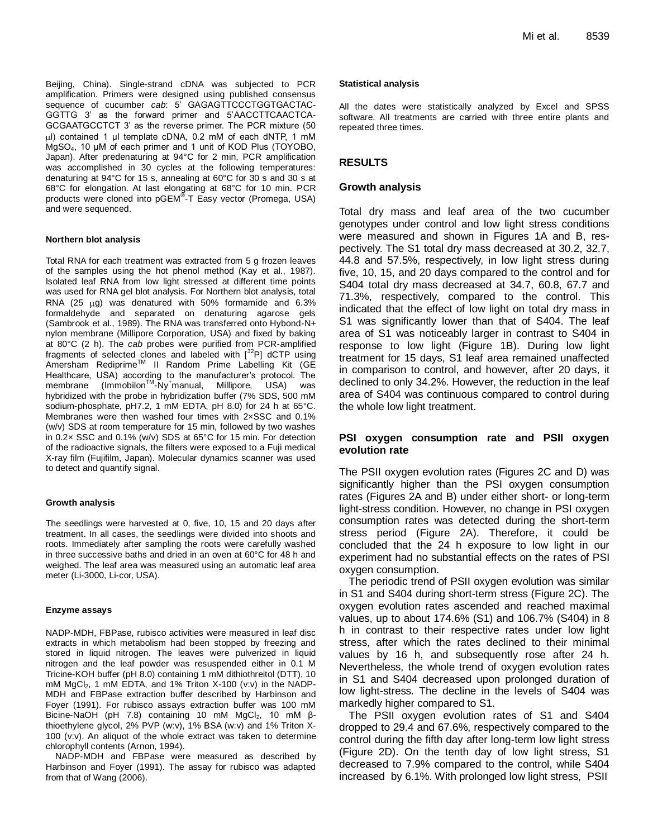Beijing, China). Single-strand cDNA was subjected to PCR amplification. Primers were designed using published consensus sequence of cucumber *cab*: 5' GAGAGTTCCCTGGTGACTAC-GGTTG 3' as the forward primer and 5'AACCTTCAACTCA-GCGAATGCCTCT 3' as the reverse primer. The PCR mixture (50 μl) contained 1 μl template cDNA, 0.2 mM of each dNTP, 1 mM MgSO4, 10 μM of each primer and 1 unit of KOD Plus (TOYOBO, Japan). After predenaturing at 94°C for 2 min, PCR amplification was accomplished in 30 cycles at the following temperatures: denaturing at 94°C for 15 s, annealing at 60°C for 30 s and 30 s at 68°C for elongation. At last elongating at 68°C for 10 min. PCR products were cloned into pGEM® -T Easy vector (Promega, USA) and were sequenced.

## **Northern blot analysis**

Total RNA for each treatment was extracted from 5 g frozen leaves of the samples using the hot phenol method (Kay et al., 1987). Isolated leaf RNA from low light stressed at different time points was used for RNA gel blot analysis. For Northern blot analysis, total RNA (25  $\mu$ g) was denatured with 50% formamide and 6.3% formaldehyde and separated on denaturing agarose gels (Sambrook et al., 1989). The RNA was transferred onto Hybond-N+ nylon membrane (Millipore Corporation, USA) and fixed by baking at 80°C (2 h). The *cab* probes were purified from PCR-amplified fragments of selected clones and labeled with  $[{}^{32}P]$  dCTP using Amersham Rediprime<sup>™</sup> II Random Prime Labelling Kit (GE Healthcare, USA) according to the manufacturer's protocol. The membrane (Immobilon™-Ny<sup>+</sup>manual, Millipore, USA) was hybridized with the probe in hybridization buffer (7% SDS, 500 mM sodium-phosphate, pH7.2, 1 mM EDTA, pH 8.0) for 24 h at 65°C. Membranes were then washed four times with 2×SSC and 0.1% (w/v) SDS at room temperature for 15 min, followed by two washes in 0.2× SSC and 0.1% (w/v) SDS at 65°C for 15 min. For detection of the radioactive signals, the filters were exposed to a Fuji medical X-ray film (Fujifilm, Japan). Molecular dynamics scanner was used to detect and quantify signal.

## **Growth analysis**

The seedlings were harvested at 0, five, 10, 15 and 20 days after treatment. In all cases, the seedlings were divided into shoots and roots. Immediately after sampling the roots were carefully washed in three successive baths and dried in an oven at 60°C for 48 h and weighed. The leaf area was measured using an automatic leaf area meter (Li-3000, Li-cor, USA).

## **Enzyme assays**

NADP-MDH, FBPase, rubisco activities were measured in leaf disc extracts in which metabolism had been stopped by freezing and stored in liquid nitrogen. The leaves were pulverized in liquid nitrogen and the leaf powder was resuspended either in 0.1 M Tricine-KOH buffer (pH 8.0) containing 1 mM dithiothreitol (DTT), 10 mM  $MgCl<sub>2</sub>$ , 1 mM EDTA, and 1% Triton X-100 (v:v) in the NADP-MDH and FBPase extraction buffer described by Harbinson and Foyer (1991). For rubisco assays extraction buffer was 100 mM Bicine-NaOH (pH 7.8) containing 10 mM MgCl<sub>2</sub>, 10 mM βthioethylene glycol, 2% PVP (w:v), 1% BSA (w:v) and 1% Triton X-100 (v:v). An aliquot of the whole extract was taken to determine chlorophyll contents (Arnon, 1994).

NADP-MDH and FBPase were measured as described by Harbinson and Foyer (1991). The assay for rubisco was adapted from that of Wang (2006).

## **Statistical analysis**

All the dates were statistically analyzed by Excel and SPSS software. All treatments are carried with three entire plants and repeated three times.

# **RESULTS**

## **Growth analysis**

Total dry mass and leaf area of the two cucumber genotypes under control and low light stress conditions were measured and shown in Figures 1A and B, respectively. The S1 total dry mass decreased at 30.2, 32.7, 44.8 and 57.5%, respectively, in low light stress during five, 10, 15, and 20 days compared to the control and for S404 total dry mass decreased at 34.7, 60.8, 67.7 and 71.3%, respectively, compared to the control. This indicated that the effect of low light on total dry mass in S1 was significantly lower than that of S404. The leaf area of S1 was noticeably larger in contrast to S404 in response to low light (Figure 1B). During low light treatment for 15 days, S1 leaf area remained unaffected in comparison to control, and however, after 20 days, it declined to only 34.2%. However, the reduction in the leaf area of S404 was continuous compared to control during the whole low light treatment.

## **PSI oxygen consumption rate and PSII oxygen evolution rate**

The PSII oxygen evolution rates (Figures 2C and D) was significantly higher than the PSI oxygen consumption rates (Figures 2A and B) under either short- or long-term light-stress condition. However, no change in PSI oxygen consumption rates was detected during the short-term stress period (Figure 2A). Therefore, it could be concluded that the 24 h exposure to low light in our experiment had no substantial effects on the rates of PSI oxygen consumption.

The periodic trend of PSII oxygen evolution was similar in S1 and S404 during short-term stress (Figure 2C). The oxygen evolution rates ascended and reached maximal values, up to about 174.6% (S1) and 106.7% (S404) in 8 h in contrast to their respective rates under low light stress, after which the rates declined to their minimal values by 16 h, and subsequently rose after 24 h. Nevertheless, the whole trend of oxygen evolution rates in S1 and S404 decreased upon prolonged duration of low light-stress. The decline in the levels of S404 was markedly higher compared to S1.

The PSII oxygen evolution rates of S1 and S404 dropped to 29.4 and 67.6%, respectively compared to the control during the fifth day after long-term low light stress (Figure 2D). On the tenth day of low light stress, S1 decreased to 7.9% compared to the control, while S404 increased by 6.1%. With prolonged low light stress, PSII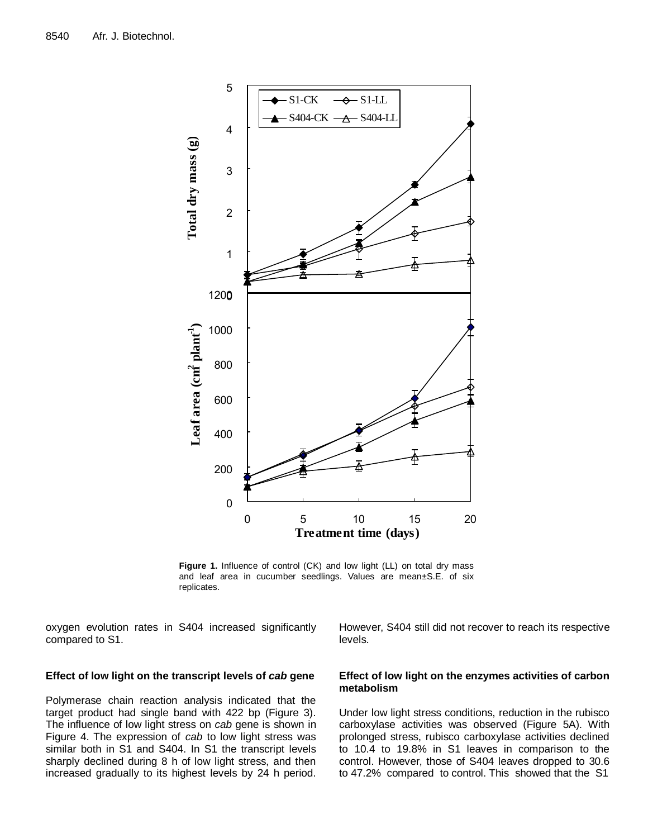

**Figure 1.** Influence of control (CK) and low light (LL) on total dry mass and leaf area in cucumber seedlings. Values are mean±S.E. of six replicates.

oxygen evolution rates in S404 increased significantly compared to S1.

# **Effect of low light on the transcript levels of** *cab* **gene**

Polymerase chain reaction analysis indicated that the target product had single band with 422 bp (Figure 3). The influence of low light stress on *cab* gene is shown in Figure 4. The expression of *cab* to low light stress was similar both in S1 and S404. In S1 the transcript levels sharply declined during 8 h of low light stress, and then increased gradually to its highest levels by 24 h period. However, S404 still did not recover to reach its respective levels.

# **Effect of low light on the enzymes activities of carbon metabolism**

Under low light stress conditions, reduction in the rubisco carboxylase activities was observed (Figure 5A). With prolonged stress, rubisco carboxylase activities declined to 10.4 to 19.8% in S1 leaves in comparison to the control. However, those of S404 leaves dropped to 30.6 to 47.2% compared to control. This showed that the S1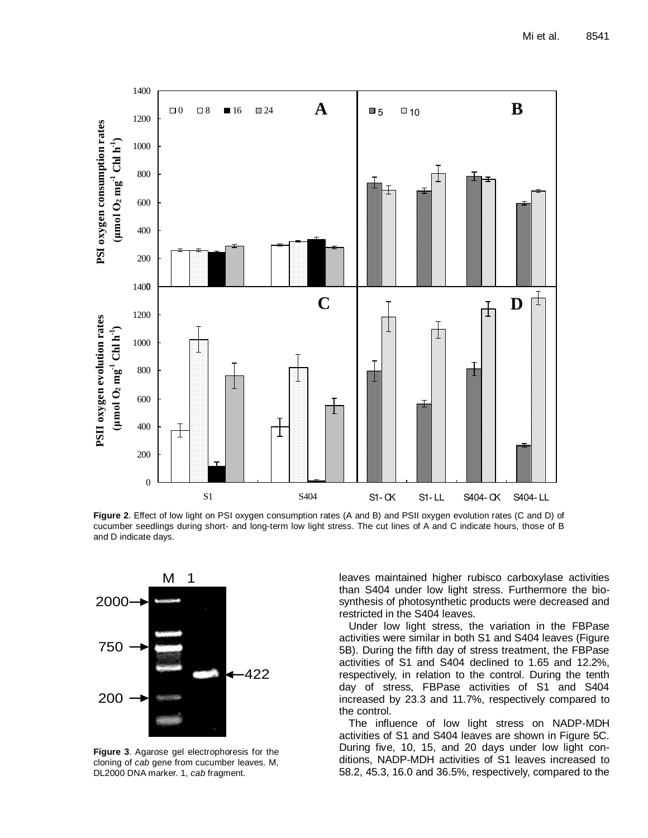

**Figure 2**. Effect of low light on PSI oxygen consumption rates (A and B) and PSII oxygen evolution rates (C and D) of cucumber seedlings during short- and long-term low light stress. The cut lines of A and C indicate hours, those of B and D indicate days.



**Figure 3**. Agarose gel electrophoresis for the cloning of *cab* gene from cucumber leaves. M, DL2000 DNA marker. 1, *cab* fragment.

leaves maintained higher rubisco carboxylase activities than S404 under low light stress. Furthermore the biosynthesis of photosynthetic products were decreased and restricted in the S404 leaves.

Under low light stress, the variation in the FBPase activities were similar in both S1 and S404 leaves (Figure 5B). During the fifth day of stress treatment, the FBPase activities of S1 and S404 declined to 1.65 and 12.2%, respectively, in relation to the control. During the tenth day of stress, FBPase activities of S1 and S404 increased by 23.3 and 11.7%, respectively compared to the control.

The influence of low light stress on NADP-MDH activities of S1 and S404 leaves are shown in Figure 5C. During five, 10, 15, and 20 days under low light conditions, NADP-MDH activities of S1 leaves increased to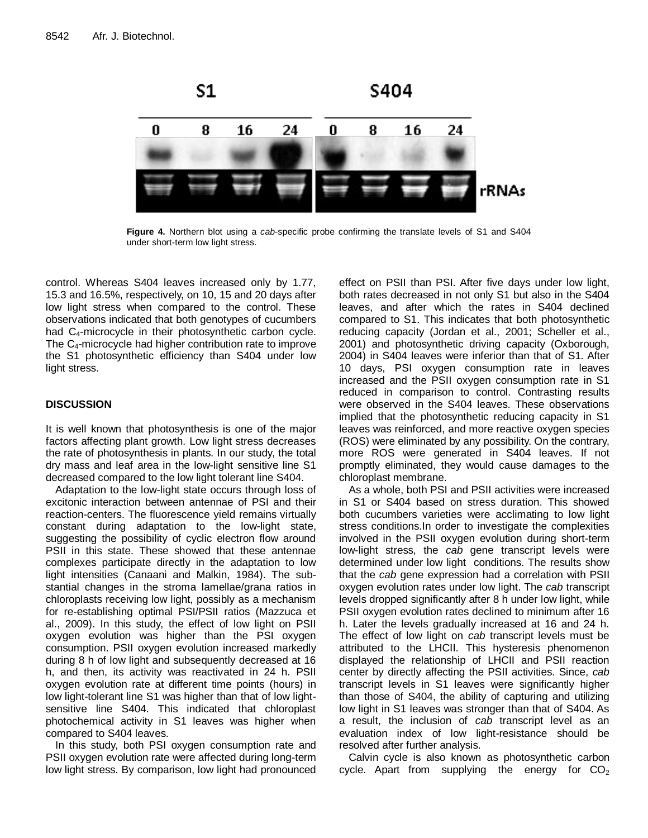

**Figure 4.** Northern blot using a *cab*-specific probe confirming the translate levels of S1 and S404 under short-term low light stress.

control. Whereas S404 leaves increased only by 1.77, 15.3 and 16.5%, respectively, on 10, 15 and 20 days after low light stress when compared to the control. These observations indicated that both genotypes of cucumbers had  $C_4$ -microcycle in their photosynthetic carbon cycle. The C4-microcycle had higher contribution rate to improve the S1 photosynthetic efficiency than S404 under low light stress.

# **DISCUSSION**

It is well known that photosynthesis is one of the major factors affecting plant growth. Low light stress decreases the rate of photosynthesis in plants. In our study, the total dry mass and leaf area in the low-light sensitive line S1 decreased compared to the low light tolerant line S404.

Adaptation to the low-light state occurs through loss of excitonic interaction between antennae of PSI and their reaction-centers. The fluorescence yield remains virtually constant during adaptation to the low-light state, suggesting the possibility of cyclic electron flow around PSII in this state. These showed that these antennae complexes participate directly in the adaptation to low light intensities (Canaani and Malkin, 1984). The substantial changes in the stroma lamellae/grana ratios in chloroplasts receiving low light, possibly as a mechanism for re-establishing optimal PSI/PSII ratios (Mazzuca et al., 2009). In this study, the effect of low light on PSII oxygen evolution was higher than the PSI oxygen consumption. PSII oxygen evolution increased markedly during 8 h of low light and subsequently decreased at 16 h, and then, its activity was reactivated in 24 h. PSII oxygen evolution rate at different time points (hours) in low light-tolerant line S1 was higher than that of low lightsensitive line S404. This indicated that chloroplast photochemical activity in S1 leaves was higher when compared to S404 leaves.

In this study, both PSI oxygen consumption rate and PSII oxygen evolution rate were affected during long-term low light stress. By comparison, low light had pronounced effect on PSII than PSI. After five days under low light, both rates decreased in not only S1 but also in the S404 leaves, and after which the rates in S404 declined compared to S1. This indicates that both photosynthetic reducing capacity (Jordan et al., 2001; Scheller et al., 2001) and photosynthetic driving capacity (Oxborough, 2004) in S404 leaves were inferior than that of S1. After 10 days, PSI oxygen consumption rate in leaves increased and the PSII oxygen consumption rate in S1 reduced in comparison to control. Contrasting results were observed in the S404 leaves. These observations implied that the photosynthetic reducing capacity in S1 leaves was reinforced, and more reactive oxygen species (ROS) were eliminated by any possibility. On the contrary, more ROS were generated in S404 leaves. If not promptly eliminated, they would cause damages to the chloroplast membrane.

As a whole, both PSI and PSII activities were increased in S1 or S404 based on stress duration. This showed both cucumbers varieties were acclimating to low light stress conditions.In order to investigate the complexities involved in the PSII oxygen evolution during short-term low-light stress, the *cab* gene transcript levels were determined under low light conditions. The results show that the *cab* gene expression had a correlation with PSII oxygen evolution rates under low light. The *cab* transcript levels dropped significantly after 8 h under low light, while PSII oxygen evolution rates declined to minimum after 16 h. Later the levels gradually increased at 16 and 24 h. The effect of low light on *cab* transcript levels must be attributed to the LHCII. This hysteresis phenomenon displayed the relationship of LHCII and PSII reaction center by directly affecting the PSII activities. Since, *cab* transcript levels in S1 leaves were significantly higher than those of S404, the ability of capturing and utilizing low light in S1 leaves was stronger than that of S404. As a result, the inclusion of *cab* transcript level as an evaluation index of low light-resistance should be resolved after further analysis.

Calvin cycle is also known as photosynthetic carbon cycle. Apart from supplying the energy for  $CO<sub>2</sub>$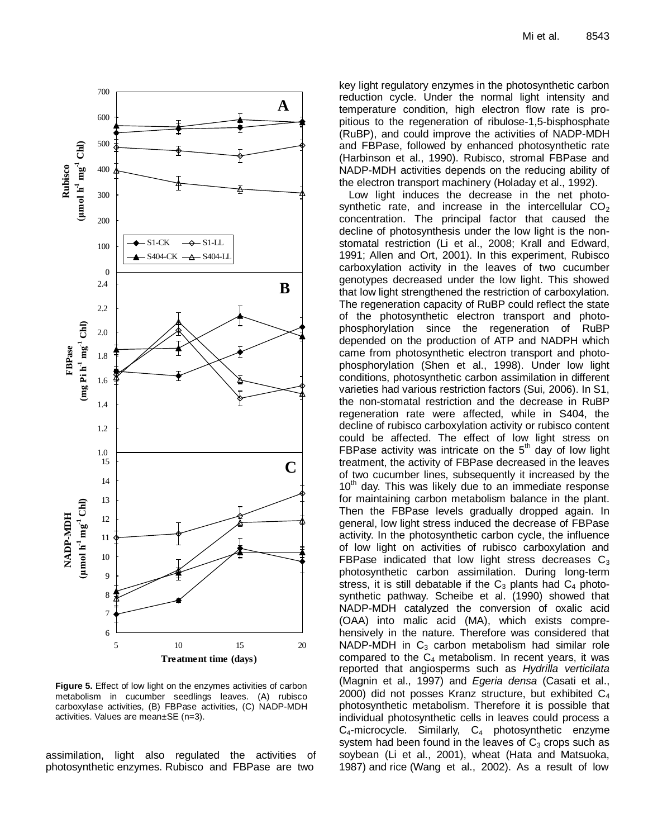

**Figure 5.** Effect of low light on the enzymes activities of carbon metabolism in cucumber seedlings leaves. (A) rubisco carboxylase activities, (B) FBPase activities, (C) NADP-MDH activities. Values are mean±SE (n=3).

assimilation, light also regulated the activities of photosynthetic enzymes. Rubisco and FBPase are two

key light regulatory enzymes in the photosynthetic carbon reduction cycle. Under the normal light intensity and temperature condition, high electron flow rate is propitious to the regeneration of ribulose-1,5-bisphosphate (RuBP), and could improve the activities of NADP-MDH and FBPase, followed by enhanced photosynthetic rate (Harbinson et al., 1990). Rubisco, stromal FBPase and NADP-MDH activities depends on the reducing ability of the electron transport machinery (Holaday et al., 1992).

Low light induces the decrease in the net photosynthetic rate, and increase in the intercellular  $CO<sub>2</sub>$ concentration. The principal factor that caused the decline of photosynthesis under the low light is the nonstomatal restriction (Li et al., 2008; Krall and Edward, 1991; Allen and Ort, 2001). In this experiment, Rubisco carboxylation activity in the leaves of two cucumber genotypes decreased under the low light. This showed that low light strengthened the restriction of carboxylation. The regeneration capacity of RuBP could reflect the state of the photosynthetic electron transport and photophosphorylation since the regeneration of RuBP depended on the production of ATP and NADPH which came from photosynthetic electron transport and photophosphorylation (Shen et al., 1998). Under low light conditions, photosynthetic carbon assimilation in different varieties had various restriction factors (Sui, 2006). In S1, the non-stomatal restriction and the decrease in RuBP regeneration rate were affected, while in S404, the decline of rubisco carboxylation activity or rubisco content could be affected. The effect of low light stress on FBPase activity was intricate on the  $5<sup>th</sup>$  day of low light treatment, the activity of FBPase decreased in the leaves of two cucumber lines, subsequently it increased by the  $10<sup>th</sup>$  day. This was likely due to an immediate response for maintaining carbon metabolism balance in the plant. Then the FBPase levels gradually dropped again. In general, low light stress induced the decrease of FBPase activity. In the photosynthetic carbon cycle, the influence of low light on activities of rubisco carboxylation and FBPase indicated that low light stress decreases  $C_3$ photosynthetic carbon assimilation. During long-term stress, it is still debatable if the  $C_3$  plants had  $C_4$  photosynthetic pathway. Scheibe et al. (1990) showed that NADP-MDH catalyzed the conversion of oxalic acid (OAA) into malic acid (MA), which exists comprehensively in the nature. Therefore was considered that NADP-MDH in  $C_3$  carbon metabolism had similar role compared to the  $C_4$  metabolism. In recent years, it was reported that angiosperms such as *Hydrilla verticilata* (Magnin et al., 1997) and *Egeria densa* (Casati et al., 2000) did not posses Kranz structure, but exhibited  $C_4$ photosynthetic metabolism. Therefore it is possible that individual photosynthetic cells in leaves could process a  $C_4$ -microcycle. Similarly,  $C_4$  photosynthetic enzyme system had been found in the leaves of  $C_3$  crops such as soybean (Li et al., 2001), wheat (Hata and Matsuoka, **1987**<br> **1987** and results the first of the first of the first of the first of the first of the first of the particle of the particle of the particle of the particle of the particle of the particle of the particle of the p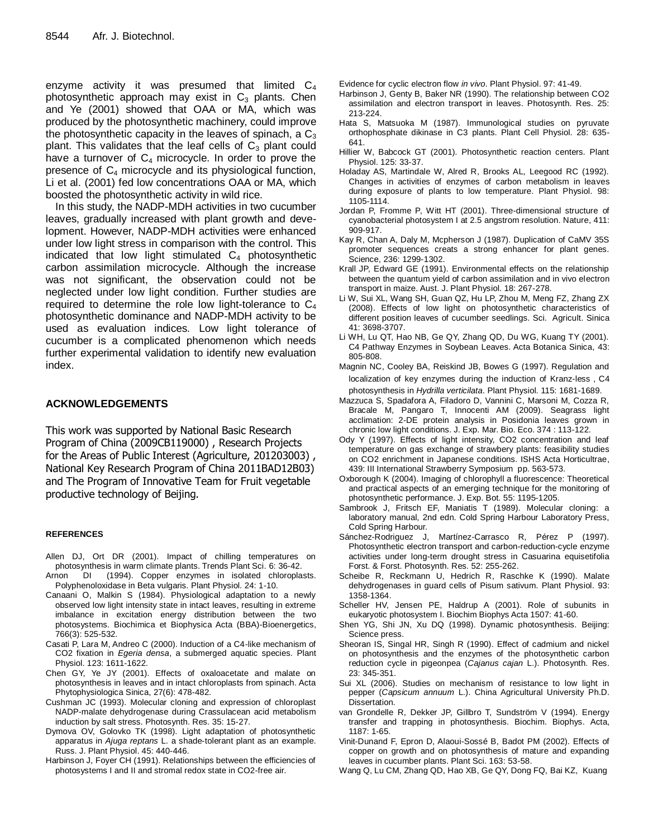enzyme activity it was presumed that limited  $C_4$ photosynthetic approach may exist in  $C_3$  plants. Chen and Ye (2001) showed that OAA or MA, which was produced by the photosynthetic machinery, could improve the photosynthetic capacity in the leaves of spinach, a  $C_3$ plant. This validates that the leaf cells of  $C_3$  plant could have a turnover of  $C_4$  microcycle. In order to prove the presence of  $C_4$  microcycle and its physiological function, Li et al. (2001) fed low concentrations OAA or MA, which boosted the photosynthetic activity in wild rice.

In this study, the NADP-MDH activities in two cucumber leaves, gradually increased with plant growth and development. However, NADP-MDH activities were enhanced under low light stress in comparison with the control. This indicated that low light stimulated  $C_4$  photosynthetic carbon assimilation microcycle. Although the increase was not significant, the observation could not be neglected under low light condition. Further studies are required to determine the role low light-tolerance to  $C_4$ photosynthetic dominance and NADP-MDH activity to be used as evaluation indices. Low light tolerance of cucumber is a complicated phenomenon which needs further experimental validation to identify new evaluation index.

# **ACKNOWLEDGEMENTS**

This work was supported by National Basic Research Program of China (2009CB119000) , Research Projects for the Areas of Public Interest (Agriculture, 201203003) , National Key Research Program of China 2011BAD12B03) and The Program of Innovative Team for Fruit vegetable productive technology of Beijing.

## **REFERENCES**

- Allen DJ, Ort DR (2001). Impact of chilling temperatures on photosynthesis in warm climate plants. Trends Plant Sci. 6: 36-42.
- Arnon DI (1994). Copper enzymes in isolated chloroplasts. Polyphenoloxidase in Beta vulgaris. Plant Physiol. 24: 1-10.
- Canaani O, Malkin S (1984). Physiological adaptation to a newly observed low light intensity state in intact leaves, resulting in extreme imbalance in excitation energy distribution between the two photosystems. Biochimica et Biophysica Acta (BBA)-Bioenergetics, 766(3): 525-532.
- Casati P, Lara M, Andreo C (2000). Induction of a C4-like mechanism of CO2 fixation in *Egeria densa*, a submerged aquatic species. Plant Physiol. 123: 1611-1622.
- Chen GY, Ye JY (2001). Effects of oxaloacetate and malate on photosynthesis in leaves and in intact chloroplasts from spinach. Acta Phytophysiologica Sinica, 27(6): 478-482.
- Cushman JC (1993). Molecular cloning and expression of chloroplast NADP-malate dehydrogenase during Crassulacean acid metabolism induction by salt stress. Photosynth. Res. 35: 15-27.
- Dymova OV, Golovko TK (1998). Light adaptation of photosynthetic apparatus in *Ajuga reptans* L. a shade-tolerant plant as an example. Russ. J. Plant Physiol. 45: 440-446.
- Harbinson J, Foyer CH (1991). Relationships between the efficiencies of photosystems I and II and stromal redox state in CO2-free air.

Evidence for cyclic electron flow *in vivo*. Plant Physiol. 97: 41-49.

- Harbinson J, Genty B, Baker NR (1990). The relationship between CO2 assimilation and electron transport in leaves. Photosynth. Res. 25: 213-224.
- Hata S, Matsuoka M (1987). Immunological studies on pyruvate orthophosphate dikinase in C3 plants. Plant Cell Physiol. 28: 635- 641.
- Hillier W, Babcock GT (2001). Photosynthetic reaction centers. Plant Physiol. 125: 33-37.
- Holaday AS, Martindale W, Alred R, Brooks AL, Leegood RC (1992). Changes in activities of enzymes of carbon metabolism in leaves during exposure of plants to low temperature. Plant Physiol. 98: 1105-1114.
- Jordan P, Fromme P, Witt HT (2001). Three-dimensional structure of cyanobacterial photosystem I at 2.5 angstrom resolution. Nature, 411: 909-917.
- Kay R, Chan A, Daly M, Mcpherson J (1987). Duplication of CaMV 35S promoter sequences creats a strong enhancer for plant genes. Science, 236: 1299-1302.
- Krall JP, Edward GE (1991). Environmental effects on the relationship between the quantum yield of carbon assimilation and in vivo electron transport in maize. Aust. J. Plant Physiol. 18: 267-278.
- Li W, Sui XL, Wang SH, Guan QZ, Hu LP, Zhou M, Meng FZ, Zhang ZX (2008). Effects of low light on photosynthetic characteristics of different position leaves of cucumber seedlings. Sci. Agricult. Sinica 41: 3698-3707.
- Li WH, Lu QT, Hao NB, Ge QY, Zhang QD, Du WG, Kuang TY (2001). C4 Pathway Enzymes in Soybean Leaves. Acta Botanica Sinica, 43: 805-808.
- Magnin NC, Cooley BA, Reiskind JB, Bowes G (1997). Regulation and localization of key enzymes during the induction of Kranz-less, C4 photosynthesis in *Hydrilla verticilata*. Plant Physiol. 115: 1681-1689.
- Mazzuca S, Spadafora A, Filadoro D, Vannini C, Marsoni M, Cozza R, Bracale M, Pangaro T, Innocenti AM (2009). Seagrass light acclimation: 2-DE protein analysis in Posidonia leaves grown in chronic low light conditions. J. Exp. Mar. Bio. Eco. 374 : 113-122.
- Ody Y (1997). Effects of light intensity, CO2 concentration and leaf temperature on gas exchange of strawbery plants: feasibility studies on CO2 enrichment in Japanese conditions. ISHS Acta Horticultrae, 439: III International Strawberry Symposium pp. 563-573.
- Oxborough K (2004). Imaging of chlorophyll a fluorescence: Theoretical and practical aspects of an emerging technique for the monitoring of photosynthetic performance. J. Exp. Bot. 55: 1195-1205.
- Sambrook J, Fritsch EF, Maniatis T (1989). Molecular cloning: a laboratory manual, 2nd edn. Cold Spring Harbour Laboratory Press, Cold Spring Harbour.
- Sánchez-Rodriguez J, Martínez-Carrasco R, Pérez P (1997). Photosynthetic electron transport and carbon-reduction-cycle enzyme activities under long-term drought stress in Casuarina equisetifolia Forst. & Forst. Photosynth. Res. 52: 255-262.
- Scheibe R, Reckmann U, Hedrich R, Raschke K (1990). Malate dehydrogenases in guard cells of Pisum sativum. Plant Physiol. 93: 1358-1364.
- Scheller HV, Jensen PE, Haldrup A (2001). Role of subunits in eukaryotic photosystem I. Biochim Biophys Acta 1507: 41-60.
- Shen YG, Shi JN, Xu DQ (1998). Dynamic photosynthesis. Beijing: Science press.
- Sheoran IS, Singal HR, Singh R (1990). Effect of cadmium and nickel on photosynthesis and the enzymes of the photosynthetic carbon reduction cycle in pigeonpea (*Cajanus cajan* L.). Photosynth. Res. 23: 345-351.
- Sui XL (2006). Studies on mechanism of resistance to low light in pepper (*Capsicum annuum* L.). China Agricultural University Ph.D. Dissertation.
- van Grondelle R, Dekker JP, Gillbro T, Sundström V (1994). Energy transfer and trapping in photosynthesis. Biochim. Biophys. Acta, 1187: 1-65.
- Vinit-Dunand F, Epron D, Alaoui-Sossé B, Badot PM (2002). Effects of copper on growth and on photosynthesis of mature and expanding leaves in cucumber plants. Plant Sci. 163: 53-58.
- Wang Q, Lu CM, Zhang QD, Hao XB, Ge QY, Dong FQ, Bai KZ, Kuang